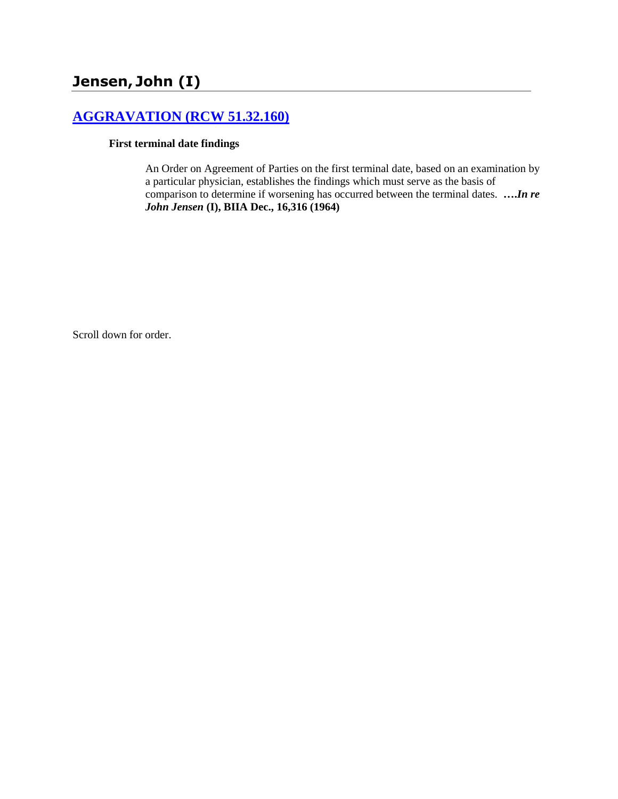## **[AGGRAVATION \(RCW 51.32.160\)](http://www.biia.wa.gov/SDSubjectIndex.html#AGGRAVATION)**

## **First terminal date findings**

An Order on Agreement of Parties on the first terminal date, based on an examination by a particular physician, establishes the findings which must serve as the basis of comparison to determine if worsening has occurred between the terminal dates. **….***In re John Jensen* **(I), BIIA Dec., 16,316 (1964)**

Scroll down for order.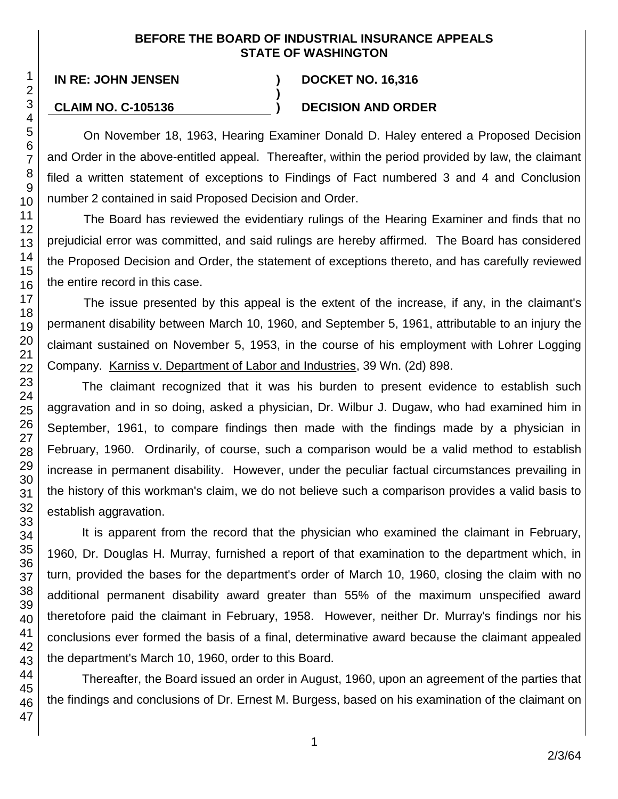## **BEFORE THE BOARD OF INDUSTRIAL INSURANCE APPEALS STATE OF WASHINGTON**

**)**

**IN RE: JOHN JENSEN ) DOCKET NO. 16,316**

## **CLAIM NO. C-105136 ) DECISION AND ORDER**

On November 18, 1963, Hearing Examiner Donald D. Haley entered a Proposed Decision and Order in the above-entitled appeal. Thereafter, within the period provided by law, the claimant filed a written statement of exceptions to Findings of Fact numbered 3 and 4 and Conclusion number 2 contained in said Proposed Decision and Order.

The Board has reviewed the evidentiary rulings of the Hearing Examiner and finds that no prejudicial error was committed, and said rulings are hereby affirmed. The Board has considered the Proposed Decision and Order, the statement of exceptions thereto, and has carefully reviewed the entire record in this case.

The issue presented by this appeal is the extent of the increase, if any, in the claimant's permanent disability between March 10, 1960, and September 5, 1961, attributable to an injury the claimant sustained on November 5, 1953, in the course of his employment with Lohrer Logging Company. Karniss v. Department of Labor and Industries, 39 Wn. (2d) 898.

The claimant recognized that it was his burden to present evidence to establish such aggravation and in so doing, asked a physician, Dr. Wilbur J. Dugaw, who had examined him in September, 1961, to compare findings then made with the findings made by a physician in February, 1960. Ordinarily, of course, such a comparison would be a valid method to establish increase in permanent disability. However, under the peculiar factual circumstances prevailing in the history of this workman's claim, we do not believe such a comparison provides a valid basis to establish aggravation.

It is apparent from the record that the physician who examined the claimant in February, 1960, Dr. Douglas H. Murray, furnished a report of that examination to the department which, in turn, provided the bases for the department's order of March 10, 1960, closing the claim with no additional permanent disability award greater than 55% of the maximum unspecified award theretofore paid the claimant in February, 1958. However, neither Dr. Murray's findings nor his conclusions ever formed the basis of a final, determinative award because the claimant appealed the department's March 10, 1960, order to this Board.

Thereafter, the Board issued an order in August, 1960, upon an agreement of the parties that the findings and conclusions of Dr. Ernest M. Burgess, based on his examination of the claimant on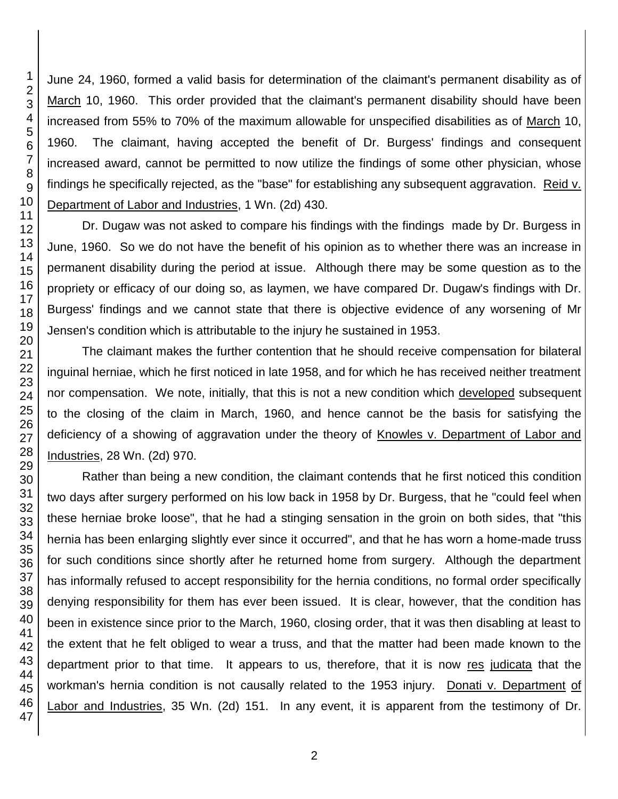June 24, 1960, formed a valid basis for determination of the claimant's permanent disability as of March 10, 1960. This order provided that the claimant's permanent disability should have been increased from 55% to 70% of the maximum allowable for unspecified disabilities as of March 10, 1960. The claimant, having accepted the benefit of Dr. Burgess' findings and consequent increased award, cannot be permitted to now utilize the findings of some other physician, whose findings he specifically rejected, as the "base" for establishing any subsequent aggravation. Reid v. Department of Labor and Industries, 1 Wn. (2d) 430.

Dr. Dugaw was not asked to compare his findings with the findings made by Dr. Burgess in June, 1960. So we do not have the benefit of his opinion as to whether there was an increase in permanent disability during the period at issue. Although there may be some question as to the propriety or efficacy of our doing so, as laymen, we have compared Dr. Dugaw's findings with Dr. Burgess' findings and we cannot state that there is objective evidence of any worsening of Mr Jensen's condition which is attributable to the injury he sustained in 1953.

The claimant makes the further contention that he should receive compensation for bilateral inguinal herniae, which he first noticed in late 1958, and for which he has received neither treatment nor compensation. We note, initially, that this is not a new condition which developed subsequent to the closing of the claim in March, 1960, and hence cannot be the basis for satisfying the deficiency of a showing of aggravation under the theory of Knowles v. Department of Labor and Industries, 28 Wn. (2d) 970.

Rather than being a new condition, the claimant contends that he first noticed this condition two days after surgery performed on his low back in 1958 by Dr. Burgess, that he "could feel when these herniae broke loose", that he had a stinging sensation in the groin on both sides, that "this hernia has been enlarging slightly ever since it occurred", and that he has worn a home-made truss for such conditions since shortly after he returned home from surgery. Although the department has informally refused to accept responsibility for the hernia conditions, no formal order specifically denying responsibility for them has ever been issued. It is clear, however, that the condition has been in existence since prior to the March, 1960, closing order, that it was then disabling at least to the extent that he felt obliged to wear a truss, and that the matter had been made known to the department prior to that time. It appears to us, therefore, that it is now res judicata that the workman's hernia condition is not causally related to the 1953 injury. Donati v. Department of Labor and Industries, 35 Wn. (2d) 151. In any event, it is apparent from the testimony of Dr.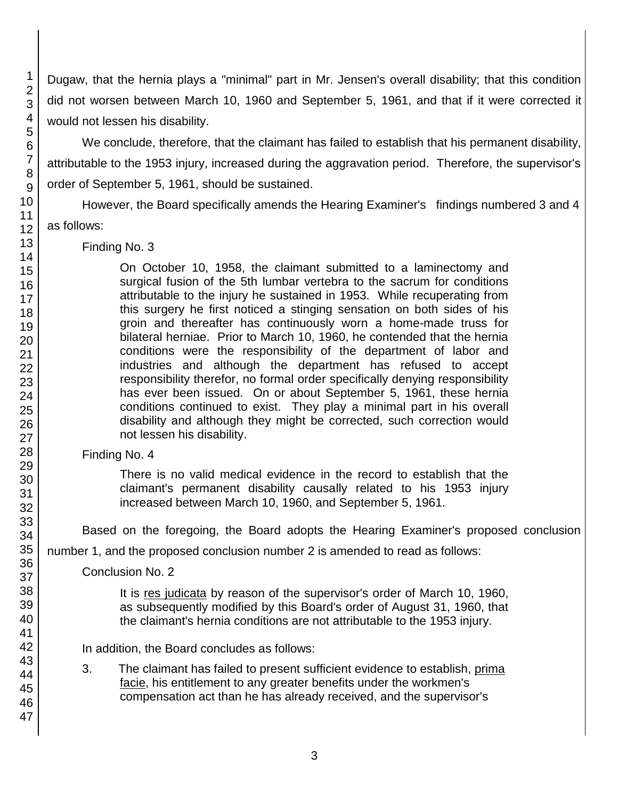Dugaw, that the hernia plays a "minimal" part in Mr. Jensen's overall disability; that this condition did not worsen between March 10, 1960 and September 5, 1961, and that if it were corrected it would not lessen his disability.

We conclude, therefore, that the claimant has failed to establish that his permanent disability, attributable to the 1953 injury, increased during the aggravation period. Therefore, the supervisor's order of September 5, 1961, should be sustained.

However, the Board specifically amends the Hearing Examiner's findings numbered 3 and 4 as follows:

Finding No. 3

On October 10, 1958, the claimant submitted to a laminectomy and surgical fusion of the 5th lumbar vertebra to the sacrum for conditions attributable to the injury he sustained in 1953. While recuperating from this surgery he first noticed a stinging sensation on both sides of his groin and thereafter has continuously worn a home-made truss for bilateral herniae. Prior to March 10, 1960, he contended that the hernia conditions were the responsibility of the department of labor and industries and although the department has refused to accept responsibility therefor, no formal order specifically denying responsibility has ever been issued. On or about September 5, 1961, these hernia conditions continued to exist. They play a minimal part in his overall disability and although they might be corrected, such correction would not lessen his disability.

Finding No. 4

There is no valid medical evidence in the record to establish that the claimant's permanent disability causally related to his 1953 injury increased between March 10, 1960, and September 5, 1961.

Based on the foregoing, the Board adopts the Hearing Examiner's proposed conclusion

number 1, and the proposed conclusion number 2 is amended to read as follows:

Conclusion No. 2

It is res judicata by reason of the supervisor's order of March 10, 1960, as subsequently modified by this Board's order of August 31, 1960, that the claimant's hernia conditions are not attributable to the 1953 injury.

In addition, the Board concludes as follows:

3. The claimant has failed to present sufficient evidence to establish, prima facie, his entitlement to any greater benefits under the workmen's compensation act than he has already received, and the supervisor's

47

1